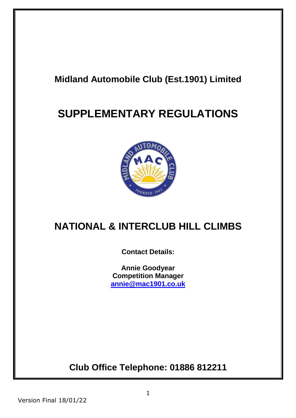# **Midland Automobile Club (Est.1901) Limited**

# **SUPPLEMENTARY REGULATIONS**



# **NATIONAL & INTERCLUB HILL CLIMBS**

**Contact Details:**

**Annie Goodyear Competition Manager [annie@mac1901.co.uk](mailto:annie@mac1901.co.uk)**

**Club Office Telephone: 01886 812211**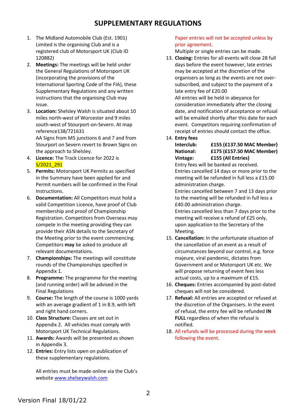# **SUPPLEMENTARY REGULATIONS**

- 1. The Midland Automobile Club (Est. 1901) Limited is the organising Club and is a registered club of Motorsport UK (Club ID 120882)
- 2. **Meetings:** The meetings will be held under the General Regulations of Motorsport UK (incorporating the provisions of the International Sporting Code of the FIA), these Supplementary Regulations and any written instructions that the organising Club may issue.
- 3. **Location:** Shelsley Walsh is situated about 10 miles north-west of Worcester and 9 miles south-west of Stourport-on-Severn. At map reference138/721631 AA Signs from M5 junctions 6 and 7 and from

Stourport on Severn revert to Brown Signs on the approach to Shelsley.

- 4. **Licence:** The Track Licence for 2022 is S/2021\_291
- 5. **Permits:** Motorsport UK Permits as specified in the Summary have been applied for and Permit numbers will be confirmed in the Final Instructions.
- 6. **Documentation:** All Competitors must hold a valid Competition Licence, have proof of Club membership and proof of Championship Registration. Competitors from Overseas may compete in the meeting providing they can provide their ASN details to the Secretary of the Meeting prior to the event commencing. Competitors **may** be asked to produce all relevant documentations.
- 7. **Championships:** The meetings will constitute rounds of the Championships specified in Appendix 1.
- 8. **Programme:** The programme for the meeting (and running order) will be advised in the Final Regulations
- 9. **Course:** The length of the course is 1000 yards with an average gradient of 1 in 8.9, with left and right hand corners.
- 10. **Class Structure:** Classes are set out in Appendix 2. All vehicles must comply with Motorsport UK Technical Regulations.
- 11. **Awards:** Awards will be presented as shown in Appendix 3.
- 12. **Entries:** Entry lists open on publication of these supplementary regulations.

All entries must be made online via the Club's websit[e www.shelseywalsh.com](http://www.shelseywalsh.com/)

# Paper entries will not be accepted unless by prior agreement.

Multiple or single entries can be made.

- 13. **Closing:** Entries for all events will close 28 full days before the event however, late entries may be accepted at the discretion of the organisers as long as the events are not oversubscribed, and subject to the payment of a late entry fee of £20.00 All entries will be held in abeyance for consideration immediately after the closing date, and notification of acceptance or refusal will be emailed shortly after this date for each event. Competitors requiring confirmation of receipt of entries should contact the office.
- 14. **Entry fees**

**Interclub: £155 (£137.50 MAC Member)**

**National: £175 (£157.50 MAC Member) Vintage: £155 (All Entries)**

Entry fees will be banked as received. Entries cancelled 14 days or more prior to the meeting will be refunded in full less a £15.00 administration charge.

Entries cancelled between 7 and 13 days prior to the meeting will be refunded in full less a £40.00 administration charge.

Entries cancelled less than 7 days prior to the meeting will receive a refund of £25 only, upon application to the Secretary of the Meeting.

- 15. **Cancellation:** In the unfortunate situation of the cancellation of an event as a result of circumstances beyond our control, e.g. force majeure, viral pandemic, dictates from Government and or Motorsport UK etc. We will propose returning of event fees less actual costs, up to a maximum of £15.
- 16. **Cheques:** Entries accompanied by post-dated cheques will not be considered.
- 17. **Refusal:** All entries are accepted or refused at the discretion of the Organisers. In the event of refusal, the entry fee will be refunded **IN FULL** regardless of when the refusal is notified.
- 18. All refunds will be processed during the week following the event.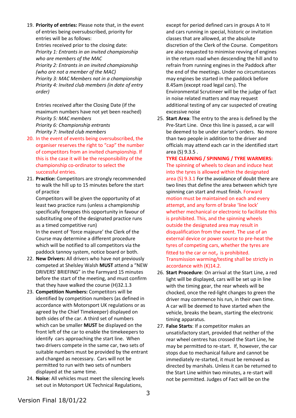19. **Priority of entries:** Please note that, in the event of entries being oversubscribed, priority for entries will be as follows: Entries received prior to the closing date: *Priority 1: Entrants in an invited championship who are members of the MAC Priority 2: Entrants in an invited championship (who are not a member of the MAC) Priority 3: MAC Members not in a championship Priority 4: Invited club members (in date of entry order)*

Entries received after the Closing Date (if the maximum numbers have not yet been reached) *Priority 5: MAC members Priority 6: Championship entrants Priority 7: Invited club members*

- 20. In the event of events being oversubscribed, the organiser reserves the right to "cap" the number of competitors from an invited championship. If this is the case it will be the responsibility of the championship co-ordinator to select the successful entries.
- 21. **Practice:** Competitors are strongly recommended to walk the hill up to 15 minutes before the start of practice

Competitors will be given the opportunity of at least two practice runs (unless a championship specifically foregoes this opportunity in favour of substituting one of the designated practice runs as a timed competitive run)

In the event of 'force majeure' the Clerk of the Course may determine a different procedure which will be notified to all competitors via the paddock tannoy system, notice board or both.

- 22. **New Drivers:** All drivers who have not previously competed at Shelsley Walsh **MUST** attend a "NEW DRIVERS' BRIEFING" in the Farmyard 15 minutes before the start of the meeting, and must confirm that they have walked the course (H)32.1.3
- 23. **Competition Numbers:** Competitors will be identified by competition numbers (as defined in accordance with Motorsport UK regulations or as agreed by the Chief Timekeeper) displayed on both sides of the car. A third set of numbers which can be smaller **MUST** be displayed on the front left of the car to enable the timekeepers to identify cars approaching the start line. When two drivers compete in the same car, two sets of suitable numbers must be provided by the entrant and changed as necessary. Cars will not be permitted to run with two sets of numbers displayed at the same time.
- 24. **Noise**: All vehicles must meet the silencing levels set out in Motorsport UK Technical Regulations,

except for period defined cars in groups A to H and cars running in special, historic or invitation classes that are allowed, at the absolute discretion of the Clerk of the Course. Competitors are also requested to minimise revving of engines in the return road when descending the hill and to refrain from running engines in the Paddock after the end of the meetings. Under no circumstances may engines be started in the paddock before 8.45am (except road legal cars). The Environmental Scrutineer will be the judge of fact in noise related matters and may request additional testing of any car suspected of creating excessive noise

25. **Start Area**: The entry to the area is defined by the Pre-Start Line. Once this line is passed, a car will be deemed to be under starter's orders. No more than two people in addition to the driver and officials may attend each car in the identified start area (S) 9.3.5 .

**TYRE CLEANING / SPINNING / TYRE WARMERS:** The spinning of wheels to clean and induce heat into the tyres is allowed within the designated area (S) 9.3.1 For the avoidance of doubt there are two lines that define the area between which tyre spinning can start and must finish. Forward motion must be maintained on each and every attempt, and any form of brake 'line lock' whether mechanical or electronic to facilitate this is prohibited. This, and the spinning wheels outside the designated area may result in disqualification from the event. The use of an external device or power source to pre-heat the tyres of competing cars, whether the tyres are fitted to the car or not, is prohibited. Transmission warming/testing shall be strictly in accordance with (K)14.2.

- 26. **Start Procedure**: On arrival at the Start Line, a red light will be displayed, cars will be set up in line with the timing gear, the rear wheels will be chocked, once the red-light changes to green the driver may commence his run, in their own time. A car will be deemed to have started when the vehicle, breaks the beam, starting the electronic timing apparatus.
- 27. **False Starts**: If a competitor makes an unsatisfactory start, provided that neither of the rear wheel centres has crossed the Start Line, he may be permitted to re-start. If, however, the car stops due to mechanical failure and cannot be immediately re-started, it must be removed as directed by marshals. Unless it can be returned to the Start Line within two minutes, a re-start will not be permitted. Judges of Fact will be on the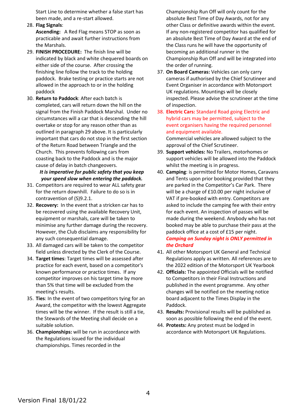Start Line to determine whether a false start has been made, and a re-start allowed.

- 28. **Flag Signals**: **Ascending:** A Red Flag means STOP as soon as practicable and await further instructions from the Marshals.
- 29. **FINISH PROCEDURE:** The finish line will be indicated by black and white chequered boards on either side of the course. After crossing the finishing line follow the track to the holding paddock. Brake testing or practice starts are not allowed in the approach to or in the holding paddock
- 30. **Return to Paddock**: After each batch is completed, cars will return down the hill on the signal from the Finish Paddock Marshal. Under no circumstances will a car that is descending the hill overtake or stop for any reason other than as outlined in paragraph 29 above. It is particularly important that cars do not stop in the first section of the Return Road between Triangle and the Church. This prevents following cars from coasting back to the Paddock and is the major cause of delay in batch changeovers.

# *It is imperative for public safety that you keep your speed slow when entering the paddock.*

- 31. Competitors are required to wear ALL safety gear for the return downhill. Failure to do so is in contravention of (S)9.2.1.
- 32. **Recovery:** In the event that a stricken car has to be recovered using the available Recovery Unit, equipment or marshals, care will be taken to minimise any further damage during the recovery. However, the Club disclaims any responsibility for any such consequential damage.
- 33. All damaged cars will be taken to the competitor field unless directed by the Clerk of the Course.
- 34. **Target times**: Target times will be assessed after practice for each event, based on a competitor's known performance or practice times. If any competitor improves on his target time by more than 5% that time will be excluded from the meeting's results.
- 35. **Ties**: In the event of two competitors tying for an Award, the competitor with the lowest Aggregate times will be the winner. If the result is still a tie, the Stewards of the Meeting shall decide on a suitable solution.
- 36. **Championships:** will be run in accordance with the Regulations issued for the individual championships. Times recorded in the

Championship Run Off will only count for the absolute Best Time of Day Awards, not for any other Class or definitive awards within the event. If any non-registered competitor has qualified for an absolute Best Time of Day Award at the end of the Class runs he will have the opportunity of becoming an additional runner in the Championship Run Off and will be integrated into the order of running.

- 37. **On Board Cameras:** Vehicles can only carry cameras if authorised by the Chief Scrutineer and Event Organiser in accordance with Motorsport UK regulations. Mountings will be closely inspected. Please advise the scrutineer at the time of inspection.
- 38. **Electric Cars:** Standard Road going Electric and hybrid cars may be permitted, subject to the event organisers having the required personnel and equipment available. Commercial vehicles are allowed subject to the
- approval of the Chief Scrutineer. 39. **Support vehicles:** No Trailers, motorhomes or support vehicles will be allowed into the Paddock whilst the meeting is in progress.
- 40. **Camping**: is permitted for Motor Homes, Caravans and Tents upon prior booking provided that they are parked in the Competitor's Car Park. There will be a charge of £10.00 per night inclusive of VAT if pre-booked with entry. Competitors are asked to include the camping fee with their entry for each event. An inspection of passes will be made during the weekend. Anybody who has not booked may be able to purchase their pass at the paddock office at a cost of £15 per night. *Camping on Sunday night is ONLY permitted in the Orchard*
- 41. All other Motorsport UK General and Technical Regulations apply as written. All references are to the 2022 edition of the Motorsport UK Yearbook
- 42. **Officials:** The appointed Officials will be notified to Competitors in their Final Instructions and published in the event programme. Any other changes will be notified on the meeting notice board adjacent to the Times Display in the Paddock.
- 43. **Results:** Provisional results will be published as soon as possible following the end of the event.
- 44. **Protests:** Any protest must be lodged in accordance with Motorsport UK Regulations.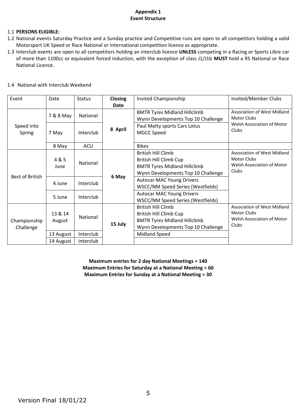# **Appendix 1 Event Structure**

# 1.1 **PERSONS ELIGIBLE:**

- 1.2 National events Saturday Practice and a Sunday practice and Competitive runs are open to all competitors holding a valid Motorsport UK Speed or Race National or International competition licence as appropriate.
- 1.3 Interclub events are open to all competitors holding an interclub licence **UNLESS** competing in a Racing or Sports Libre car of more than 1100cc or equivalent forced induction, with the exception of class J1/J1b **MUST** hold a RS National or Race National Licence.

| Event                     | Date      | <b>Status</b> | <b>Closing</b> | Invited Championship                | Invited/Member Clubs                                                                     |
|---------------------------|-----------|---------------|----------------|-------------------------------------|------------------------------------------------------------------------------------------|
|                           |           |               | Date           |                                     |                                                                                          |
| Speed into<br>Spring      | 7 & 8 May | National      | 8 April        | <b>BMTR Tyres Midland Hillclimb</b> | Association of West Midland<br><b>Motor Clubs</b><br>Welsh Association of Motor<br>Clubs |
|                           |           |               |                | Wynn Developments Top 10 Challenge  |                                                                                          |
|                           | 7 May     | Interclub     |                | Paul Matty sports Cars Lotus        |                                                                                          |
|                           |           |               |                | MGCC Speed                          |                                                                                          |
|                           | 8 May     | ACU           |                | <b>Bikes</b>                        |                                                                                          |
|                           |           |               |                | <b>British Hill Climb</b>           | Association of West Midland                                                              |
| Best of British           | 4 & 5     | National      | 6 May          | <b>British Hill Climb Cup</b>       | <b>Motor Clubs</b>                                                                       |
|                           | June      |               |                | <b>BMTR Tyres Midland Hillclimb</b> | Welsh Association of Motor                                                               |
|                           |           |               |                | Wynn Developments Top 10 Challenge  | Clubs                                                                                    |
|                           | 4 June    | Interclub     |                | <b>Autocar MAC Young Drivers</b>    |                                                                                          |
|                           |           |               |                | WSCC/NM Speed Series (Westfields)   |                                                                                          |
|                           | 5 June    | Interclub     |                | <b>Autocar MAC Young Drivers</b>    |                                                                                          |
|                           |           |               |                | WSCC/NM Speed Series (Westfields)   |                                                                                          |
| Championship<br>Challenge |           |               | 15 July        | <b>British Hill Climb</b>           | Association of West Midland                                                              |
|                           | 13 & 14   | National      |                | British Hill Climb Cup              | <b>Motor Clubs</b>                                                                       |
|                           | August    |               |                | <b>BMTR Tyres Midland Hillclimb</b> | Welsh Association of Motor                                                               |
|                           |           |               |                | Wynn Developments Top 10 Challenge  | Clubs                                                                                    |
|                           | 13 August | Interclub     |                | <b>Midland Speed</b>                |                                                                                          |
|                           | 14 August | interclub     |                |                                     |                                                                                          |

#### 1.4 National with Interclub Weekend

**Maximum entries for 2 day National Meetings = 140 Maximum Entries for Saturday at a National Meeting = 60 Maximum Entries for Sunday at a National Meeting = 30**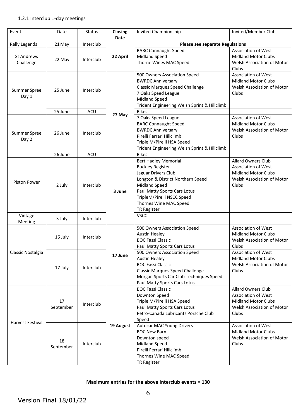# 1.2.1 Interclub 1-day meetings

| Event                          | Date            | <b>Status</b> | Closing<br><b>Date</b> | <b>Invited Championship</b>                                                                                                                                                                                                                       | Invited/Member Clubs                                                                                                                |  |
|--------------------------------|-----------------|---------------|------------------------|---------------------------------------------------------------------------------------------------------------------------------------------------------------------------------------------------------------------------------------------------|-------------------------------------------------------------------------------------------------------------------------------------|--|
| <b>Rally Legends</b>           | 21 May          | Interclub     |                        | <b>Please see separate Regulations</b>                                                                                                                                                                                                            |                                                                                                                                     |  |
| <b>St Andrews</b><br>Challenge | 22 May          | Interclub     | 22 April               | <b>BARC Connaught Speed</b><br><b>Midland Speed</b><br>Thorne Wines MAC Speed                                                                                                                                                                     | <b>Association of West</b><br><b>Midland Motor Clubs</b><br>Welsh Association of Motor<br>Clubs                                     |  |
| Summer Spree<br>Day 1          | 25 June         | Interclub     |                        | 500 Owners Association Speed<br><b>BWRDC Anniversary</b><br><b>Classic Marques Speed Challenge</b><br>7 Oaks Speed League<br><b>Midland Speed</b><br>Trident Engineering Welsh Sprint & Hillclimb                                                 | Association of West<br><b>Midland Motor Clubs</b><br>Welsh Association of Motor<br>Clubs                                            |  |
|                                | 25 June         | ACU           |                        | <b>Bikes</b>                                                                                                                                                                                                                                      |                                                                                                                                     |  |
| Summer Spree<br>Day 2          | 26 June         | Interclub     | 27 May                 | 7 Oaks Speed League<br><b>BARC Connaught Speed</b><br><b>BWRDC Anniversary</b><br>Pirelli Ferrari Hillclimb<br>Triple M/Pirelli HSA Speed<br>Trident Engineering Welsh Sprint & Hillclimb                                                         | Association of West<br><b>Midland Motor Clubs</b><br>Welsh Association of Motor<br>Clubs                                            |  |
|                                | 26 June         | ACU           |                        | <b>Bikes</b>                                                                                                                                                                                                                                      |                                                                                                                                     |  |
| <b>Piston Power</b>            | 2 July          | Interclub     | 3 June                 | <b>Bert Hadley Memorial</b><br><b>Buckley Register</b><br>Jaguar Drivers Club<br>Longton & District Northern Speed<br><b>Midland Speed</b><br>Paul Matty Sports Cars Lotus<br>TripleM/Pirelli NSCC Speed<br>Thornes Wine MAC Speed<br>TR Register | <b>Allard Owners Club</b><br><b>Association of West</b><br><b>Midland Motor Clubs</b><br><b>Welsh Association of Motor</b><br>Clubs |  |
| Vintage<br>Meeting             | 3 July          | Interclub     |                        | <b>VSCC</b>                                                                                                                                                                                                                                       |                                                                                                                                     |  |
| Classic Nostalgia              | 16 July         | Interclub     | 17 June                | 500 Owners Association Speed<br><b>Austin Healey</b><br><b>BOC Fassi Classic</b><br>Paul Matty Sports Cars Lotus                                                                                                                                  | Association of West<br><b>Midland Motor Clubs</b><br><b>Welsh Association of Motor</b><br>Clubs                                     |  |
|                                | 17 July         | Interclub     |                        | 500 Owners Association Speed<br><b>Austin Healey</b><br><b>BOC Fassi Classic</b><br><b>Classic Marques Speed Challenge</b><br>Morgan Sports Car Club Techniques Speed<br>Paul Matty Sports Cars Lotus                                             | Association of West<br><b>Midland Motor Clubs</b><br>Welsh Association of Motor<br>Clubs                                            |  |
| <b>Harvest Festival</b>        | 17<br>September | Interclub     | 19 August              | <b>BOC Fassi Classic</b><br>Downton Speed<br>Triple M/Pirelli HSA Speed<br>Paul Matty Sports Cars Lotus<br>Petro-Canada Lubricants Porsche Club<br>Speed                                                                                          | <b>Allard Owners Club</b><br><b>Association of West</b><br><b>Midland Motor Clubs</b><br>Welsh Association of Motor<br>Clubs        |  |
|                                | 18<br>September | Interclub     |                        | <b>Autocar MAC Young Drivers</b><br><b>BOC New Barn</b><br>Downton speed<br><b>Midland Speed</b><br>Pirelli Ferrari Hillclimb<br>Thornes Wine MAC Speed<br>TR Register                                                                            | <b>Association of West</b><br><b>Midland Motor Clubs</b><br>Welsh Association of Motor<br>Clubs                                     |  |

# **Maximum entries for the above Interclub events = 130**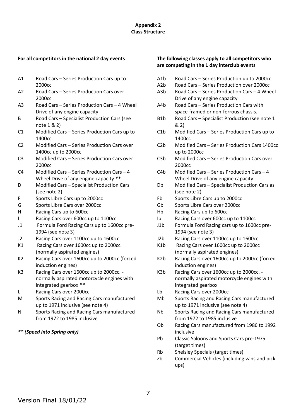# **Appendix 2 Class Structure**

#### **For all competitors in the national 2 day events**

- A1 Road Cars Series Production Cars up to 2000cc
- A2 Road Cars Series Production Cars over 2000cc
- A3 Road Cars Series Production Cars 4 Wheel Drive of any engine capacity
- B Road Cars Specialist Production Cars (see note 1 & 2)
- C1 Modified Cars Series Production Cars up to 1400cc
- C2 Modified Cars Series Production Cars over 1400cc up to 2000cc
- C3 Modified Cars Series Production Cars over 2000cc
- C4 Modified Cars Series Production Cars 4 Wheel Drive of any engine capacity *\*\**
- D Modified Cars Specialist Production Cars (see note 2)
- F Sports Libre Cars up to 2000cc
- G Sports Libre Cars over 2000cc
- H Racing Cars up to 600cc
- I Racing Cars over 600cc up to 1100cc
- J1 Formula Ford Racing Cars up to 1600cc pre-1994 (see note 3)
- J2 Racing Cars over 1100cc up to 1600cc
- K1 Racing Cars over 1600cc up to 2000cc (normally aspirated engines)
- K2 Racing Cars over 1600cc up to 2000cc (forced induction engines)
- K3 Racing Cars over 1600cc up to 2000cc. normally aspirated motorcycle engines with integrated gearbox *\*\**
- L Racing Cars over 2000cc
- M Sports Racing and Racing Cars manufactured up to 1971 inclusive (see note 4)
- N Sports Racing and Racing Cars manufactured from 1972 to 1985 inclusive

# *\*\* (Speed into Spring only)*

# **The following classes apply to all competitors who are competing in the 1 day interclub events**

- A1b Road Cars Series Production up to 2000cc
- A2b Road Cars Series Production over 2000cc
- A3b Road Cars Series Production Cars 4 Wheel Drive of any engine capacity
- A4b Road Cars Series Production Cars with space-framed or non-ferrous chassis.
- B1b Road Cars Specialist Production (see note 1 & 2)
- C1b Modified Cars Series Production Cars up to 1400cc
- C2b Modified Cars Series Production Cars 1400cc up to 2000cc
- C3b Modified Cars Series Production Cars over 2000cc
- C4b Modified Cars Series Production Cars 4 Wheel Drive of any engine capacity
- Db Modified Cars Specialist Production Cars as (see note 2)
- Fb Sports Libre Cars up to 2000cc
- Gb Sports Libre Cars over 2000cc
- Hb Racing Cars up to 600cc
- Ib Racing Cars over 600cc up to 1100cc
- J1b Formula Ford Racing cars up to 1600cc pre-1994 (see note 3)
- J2b Racing Cars over 1100cc up to 1600cc
- K1b Racing Cars over 1600cc up to 2000cc (normally aspirated engines)
- K2b Racing Cars over 1600cc up to 2000cc (forced induction engines)
- K3b Racing Cars over 1600cc up to 2000cc. normally aspirated motorcycle engines with integrated gearbox
- Lb Racing Cars over 2000cc
- Mb Sports Racing and Racing Cars manufactured up to 1971 inclusive (see note 4)
- Nb Sports Racing and Racing Cars manufactured from 1972 to 1985 inclusive
- Ob Racing Cars manufactured from 1986 to 1992 inclusive
- Pb Classic Saloons and Sports Cars pre-1975 (target times)
- Rb Shelsley Specials (target times)
- Zb Commercial Vehicles (including vans and pickups)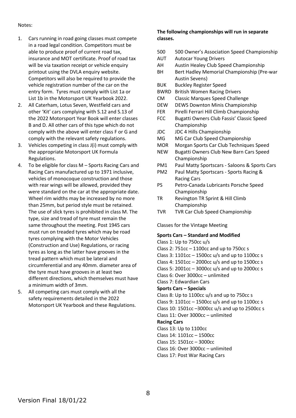### Notes:

- 1. Cars running in road going classes must compete in a road legal condition. Competitors must be able to produce proof of current road tax, insurance and MOT certificate. Proof of road tax will be via taxation receipt or vehicle enquiry printout using the DVLA enquiry website. Competitors will also be required to provide the vehicle registration number of the car on the entry form. Tyres must comply with List 1a or List 1b in the Motorsport UK Yearbook 2022.
- 2. All Caterham, Lotus Seven, Westfield cars and other 'Kit' cars complying with S.12 and S.13 of the 2022 Motorsport Year Book will enter classes B and D. All other cars of this type which do not comply with the above will enter class F or G and comply with the relevant safety regulations.
- 3. Vehicles competing in class J(i) must comply with the appropriate Motorsport UK Formula Regulations.
- 4. To be eligible for class M Sports Racing Cars and Racing Cars manufactured up to 1971 inclusive, vehicles of monocoque construction and those with rear wings will be allowed, provided they were standard on the car at the appropriate date. Wheel rim widths may be increased by no more than 25mm, but period style must be retained. The use of slick tyres is prohibited in class M. The type, size and tread of tyre must remain the same throughout the meeting. Post 1945 cars must run on treaded tyres which may be road tyres complying with the Motor Vehicles (Construction and Use) Regulations, or racing tyres as long as the latter have grooves in the tread pattern which must be lateral and circumferential and any 40mm. diameter area of the tyre must have grooves in at least two different directions, which themselves must have a minimum width of 3mm.
- 5. All competing cars must comply with all the safety requirements detailed in the 2022 Motorsport UK Yearbook and these Regulations.

# **The following championships will run in separate classes.**

- 500 500 Owner's Association Speed Championship
- AUT Autocar Young Drivers
- AH Austin Healey Club Speed Championship
- BH Bert Hadley Memorial Championship (Pre-war Austin Sevens)
- BUK Buckley Register Speed
- BWRD British Women Racing Drivers
- CM Classic Marques Speed Challenge
- DEW DEWS Downton Minis Championship
- FER Pirelli Ferrari Hill Climb Championship
- FCC Bugatti Owners Club Fassis' Classic Speed Championship
- JDC JDC 4 Hills Championship
- MG MG Car Club Speed Championship
- MOR Morgan Sports Car Club Techniques Speed
- NEW Bugatti Owners Club New Barn Cars Speed Championship
- PM1 Paul Matty Sportscars Saloons & Sports Cars
- PM2 Paul Matty Sportscars Sports Racing & Racing Cars
- PS Petro-Canada Lubricants Porsche Speed Championship
- TR Revington TR Sprint & Hill Climb Championship
- TVR TVR Car Club Speed Championship

Classes for the Vintage Meeting

# **Sports Cars – Standard and Modified**

Class 1: Up to 750cc u/s Class 2: 751cc – 1100cc and up to 750cc s Class 3: 1101cc – 1500cc u/s and up to 1100cc s Class 4: 1501cc – 2000cc u/s and up to 1500cc s Class 5: 2001cc – 3000cc u/s and up to 2000cc s Class 6: Over 3000cc – unlimited Class 7: Edwardian Cars **Sports Cars – Specials** Class 8: Up to 1100cc u/s and up to 750cc s Class 9: 1101cc – 1500cc u/s and up to 1100cc s Class 10: 1501cc –3000cc u/s and up to 2500cc s Class 11: Over 3000cc – unlimited **Racing Cars** Class 13: Up to 1100cc Class 14: 1101cc – 1500cc Class 15: 1501cc – 3000cc Class 16: Over 3000cc – unlimited Class 17: Post War Racing Cars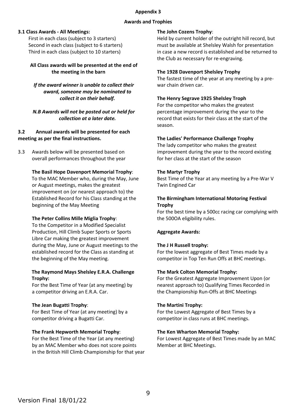### **Appendix 3**

# **Awards and Trophies**

# **3.1 Class Awards - All Meetings:**

First in each class (subject to 3 starters) Second in each class (subject to 6 starters) Third in each class (subject to 10 starters)

# **All Class awards will be presented at the end of the meeting in the barn**

*If the award winner is unable to collect their award, someone may be nominated to collect it on their behalf.*

*N.B Awards will not be posted out or held for collection at a later date.*

# **3.2 Annual awards will be presented for each meeting as per the final instructions.**

3.3 Awards below will be presented based on overall performances throughout the year

# **The Basil Hope Davenport Memorial Trophy**:

To the MAC Member who, during the May, June or August meetings, makes the greatest improvement on (or nearest approach to) the Established Record for his Class standing at the beginning of the May Meeting

#### **The Peter Collins Mille Miglia Trophy**:

To the Competitor in a Modified Specialist Production, Hill Climb Super Sports or Sports Libre Car making the greatest improvement during the May, June or August meetings to the established record for the Class as standing at the beginning of the May meeting.

# **The Raymond Mays Shelsley E.R.A. Challenge Trophy:**

For the Best Time of Year (at any meeting) by a competitor driving an E.R.A. Car.

# **The Jean Bugatti Trophy**:

For Best Time of Year (at any meeting) by a competitor driving a Bugatti Car.

# **The Frank Hepworth Memorial Trophy**:

For the Best Time of the Year (at any meeting) by an MAC Member who does not score points in the British Hill Climb Championship for that year

# **The John Cozens Trophy**:

Held by current holder of the outright hill record, but must be available at Shelsley Walsh for presentation in case a new record is established and be returned to the Club as necessary for re-engraving.

# **The 1928 Davenport Shelsley Trophy**

The fastest time of the year at any meeting by a prewar chain driven car.

# **The Henry Segrave 1925 Shelsley Troph**

For the competitor who makes the greatest percentage improvement during the year to the record that exists for their class at the start of the season.

# **The Ladies' Performance Challenge Trophy**

The lady competitor who makes the greatest improvement during the year to the record existing for her class at the start of the season

# **The Martyr Trophy**

Best Time of the Year at any meeting by a Pre-War V Twin Engined Car

# **The Birmingham International Motoring Festival Trophy**

For the best time by a 500cc racing car complying with the 500OA eligibility rules.

# **Aggregate Awards:**

#### **The J H Russell trophy:**

For the lowest aggregate of Best Times made by a competitor in Top Ten Run Offs at BHC meetings.

#### **The Mark Colton Memorial Trophy:**

For the Greatest Aggregate Improvement Upon (or nearest approach to) Qualifying Times Recorded in the Championship Run-Offs at BHC Meetings

#### **The Martini Trophy:**

For the Lowest Aggregate of Best Times by a competitor in class runs at BHC meetings.

#### **The Ken Wharton Memorial Trophy:**

For Lowest Aggregate of Best Times made by an MAC Member at BHC Meetings.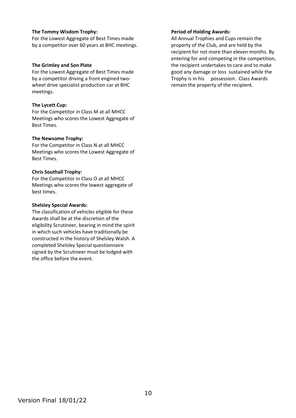# **The Tommy Wisdom Trophy:**

For the Lowest Aggregate of Best Times made by a competitor over 60 years at BHC meetings.

#### **The Grimley and Son Plate**

For the Lowest Aggregate of Best Times made by a competitor driving a front engined twowheel drive specialist production car at BHC meetings.

# **The Lycett Cup:**

For the Competitor in Class M at all MHCC Meetings who scores the Lowest Aggregate of Best Times.

#### **The Newsome Trophy:**

For the Competitor in Class N at all MHCC Meetings who scores the Lowest Aggregate of Best Times.

# **Chris Southall Trophy:**

For the Competitor in Class O at all MHCC Meetings who scores the lowest aggregate of best times.

# **Shelsley Special Awards:**

The classification of vehicles eligible for these Awards shall be at the discretion of the eligibility Scrutineer, bearing in mind the spirit in which such vehicles have traditionally be constructed in the history of Shelsley Walsh. A completed Shelsley Special questionnaire signed by the Scrutineer must be lodged with the office before the event.

# **Period of Holding Awards:**

All Annual Trophies and Cups remain the property of the Club, and are held by the recipient for not more than eleven months. By entering for and competing in the competition, the recipient undertakes to care and to make good any damage or loss sustained while the Trophy is in his possession. Class Awards remain the property of the recipient.